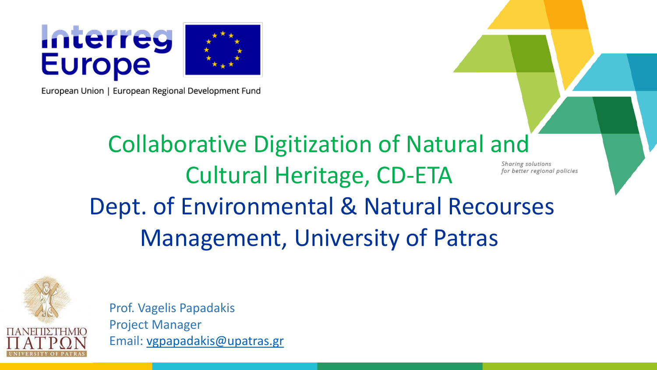

European Union | European Regional Development Fund

### Collaborative Digitization of Natural and Sharing solutions Cultural Heritage, CD-ETA for better regional policies Dept. of Environmental & Natural Recourses Management, University of Patras



Prof. Vagelis Papadakis Project Manager Email: [vgpapadakis@upatras.gr](mailto:vgpapadakis@upatras.gr)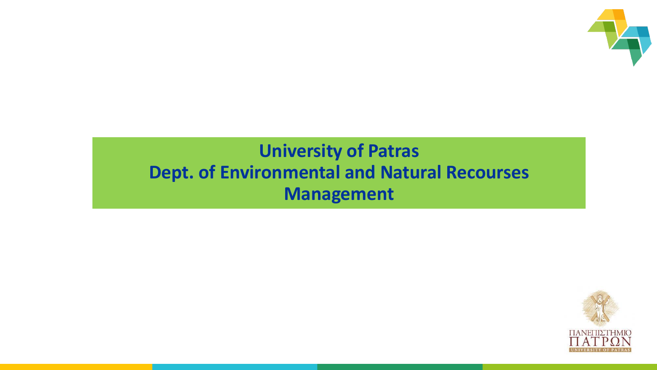

### **University of Patras Dept. of Environmental and Natural Recourses Management**

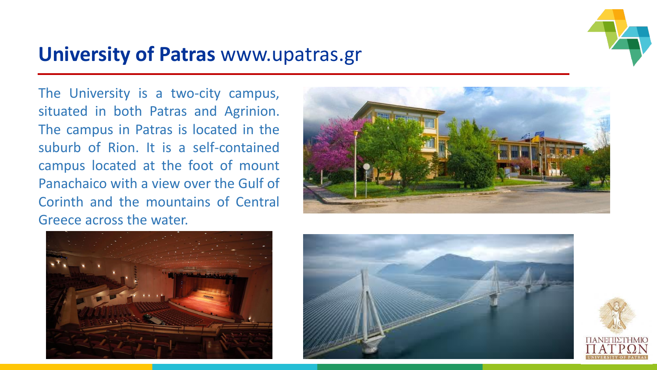

### **University of Patras** www.upatras.gr

The University is a two-city campus, situated in both Patras and Agrinion. The campus in Patras is located in the suburb of Rion. It is a self-contained campus located at the foot of mount Panachaico with a view over the Gulf of Corinth and the mountains of Central Greece across the water.







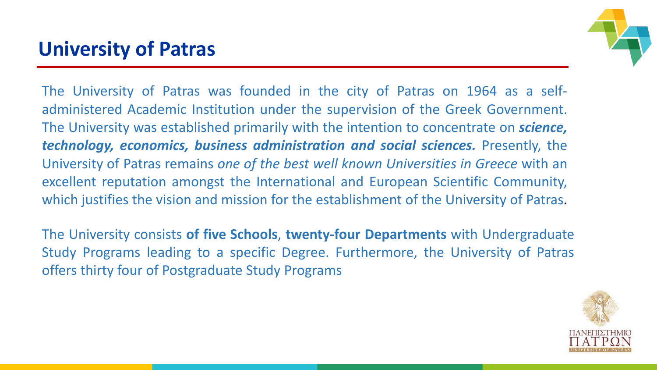## **University of Patras**



The University of Patras was founded in the city of Patras on 1964 as a selfadministered Academic Institution under the supervision of the Greek Government. The University was established primarily with the intention to concentrate on *science, technology, economics, business administration and social sciences.* Presently, the University of Patras remains *one of the best well known Universities in Greece* with an excellent reputation amongst the International and European Scientific Community, which justifies the vision and mission for the establishment of the University of Patras.

The University consists **of five Schools**, **twenty-four Departments** with Undergraduate Study Programs leading to a specific Degree. Furthermore, the University of Patras offers thirty four of Postgraduate Study Programs

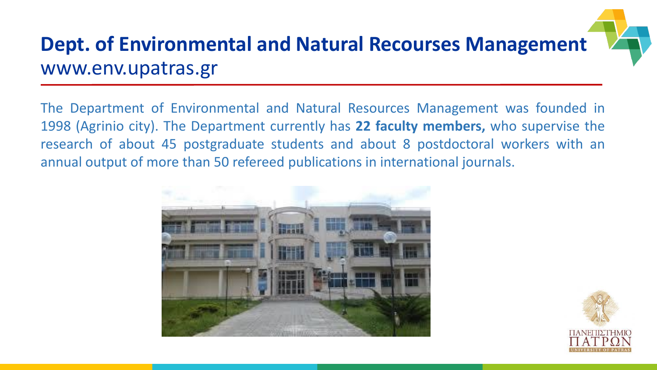# **Dept. of Environmental and Natural Recourses Management** www.env.upatras.gr

The Department of Environmental and Natural Resources Management was founded in 1998 (Agrinio city). The Department currently has **22 faculty members,** who supervise the research of about 45 postgraduate students and about 8 postdoctoral workers with an annual output of more than 50 refereed publications in international journals.



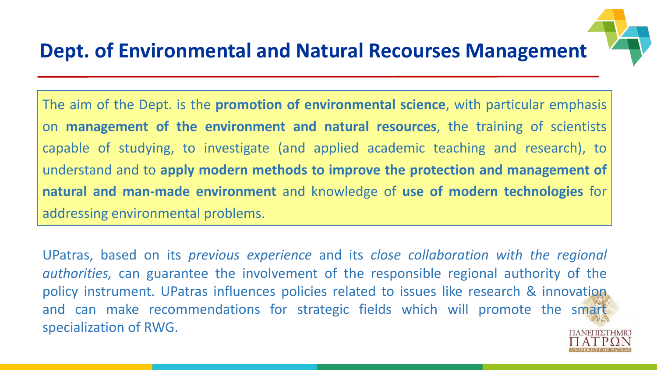# **Dept. of Environmental and Natural Recourses Management**

The aim of the Dept. is the **promotion of environmental science**, with particular emphasis on **management of the environment and natural resources**, the training of scientists capable of studying, to investigate (and applied academic teaching and research), to understand and to **apply modern methods to improve the protection and management of natural and man-made environment** and knowledge of **use of modern technologies** for addressing environmental problems.

UPatras, based on its *previous experience* and its *close collaboration with the regional authorities,* can guarantee the involvement of the responsible regional authority of the policy instrument. UPatras influences policies related to issues like research & innovation and can make recommendations for strategic fields which will promote the smart specialization of RWG.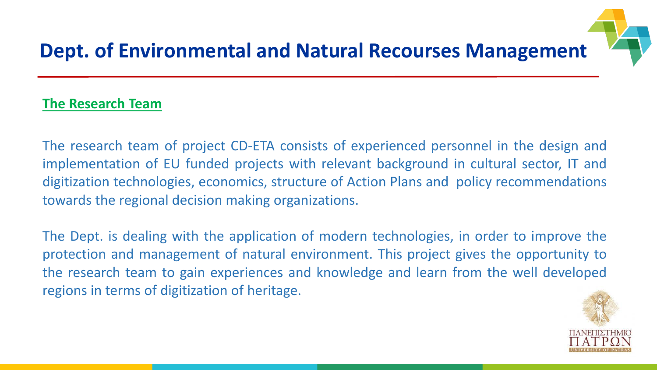

# **Dept. of Environmental and Natural Recourses Management**

#### **The Research Team**

The research team of project CD-ETA consists of experienced personnel in the design and implementation of EU funded projects with relevant background in cultural sector, IT and digitization technologies, economics, structure of Action Plans and policy recommendations towards the regional decision making organizations.

The Dept. is dealing with the application of modern technologies, in order to improve the protection and management of natural environment. This project gives the opportunity to the research team to gain experiences and knowledge and learn from the well developed regions in terms of digitization of heritage.

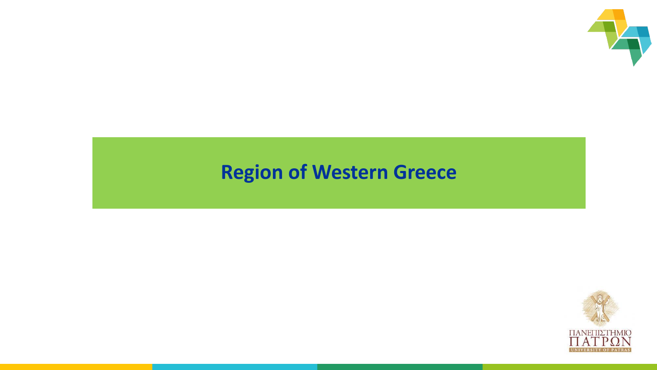

# **Region of Western Greece**

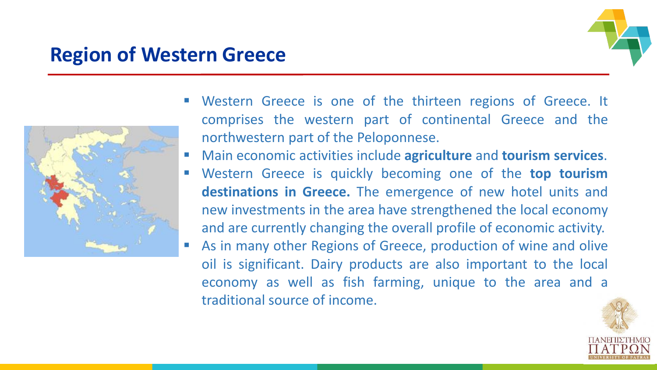### **Region of Western Greece**



- Western Greece is one of the thirteen regions of Greece. It comprises the western part of continental Greece and the northwestern part of the Peloponnese.
- Main economic activities include **agriculture** and **tourism services**.
- Western Greece is quickly becoming one of the **top tourism destinations in Greece.** The emergence of new hotel units and new investments in the area have strengthened the local economy and are currently changing the overall profile of economic activity.
- As in many other Regions of Greece, production of wine and olive oil is significant. Dairy products are also important to the local economy as well as fish farming, unique to the area and a traditional source of income.

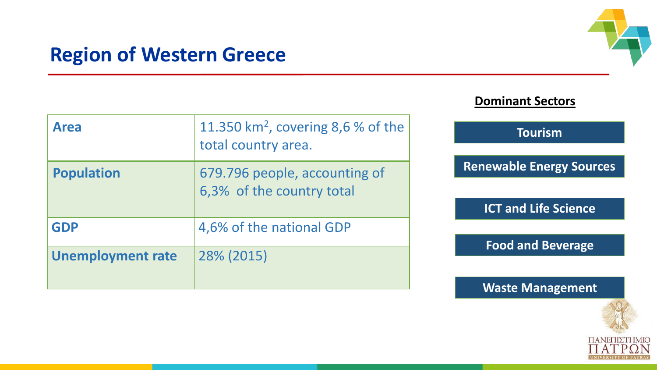

### **Region of Western Greece**

| <b>Dominant Sectors</b> |  |  |
|-------------------------|--|--|
|                         |  |  |

| <b>Area</b>              | 11.350 km <sup>2</sup> , covering 8,6 % of the<br>total country area. |  |
|--------------------------|-----------------------------------------------------------------------|--|
| <b>Population</b>        | 679.796 people, accounting of<br>6,3% of the country total            |  |
| <b>GDP</b>               | 4,6% of the national GDP                                              |  |
| <b>Unemployment rate</b> | 28% (2015)                                                            |  |

#### **Tourism**

**Renewable Energy Sources**

**ICT and Life Science**

**Food and Beverage**

#### **Waste Management**

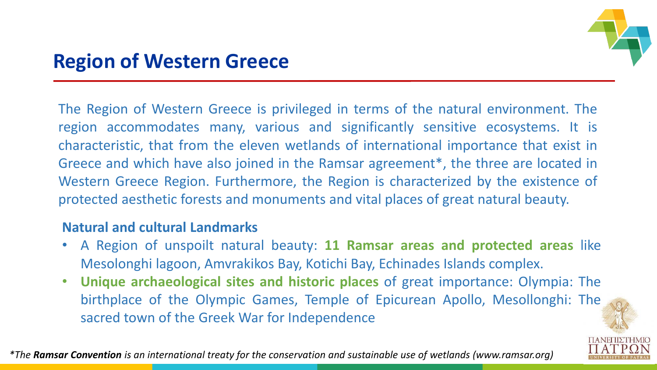

The Region of Western Greece is privileged in terms of the natural environment. The region accommodates many, various and significantly sensitive ecosystems. It is characteristic, that from the eleven wetlands of international importance that exist in Greece and which have also joined in the Ramsar agreement\*, the three are located in Western Greece Region. Furthermore, the Region is characterized by the existence of protected aesthetic forests and monuments and vital places of great natural beauty.

### **Natural and cultural Landmarks**

- A Region of unspoilt natural beauty: **11 Ramsar areas and protected areas** like Mesolonghi lagoon, Amvrakikos Bay, Kotichi Bay, Echinades Islands complex.
- **Unique archaeological sites and historic places** of great importance: Olympia: The birthplace of the Olympic Games, Temple of Epicurean Apollo, Mesollonghi: The sacred town of the Greek War for Independence

*\*The Ramsar Convention is an international treaty for the conservation and sustainable use of wetlands (www.ramsar.org)*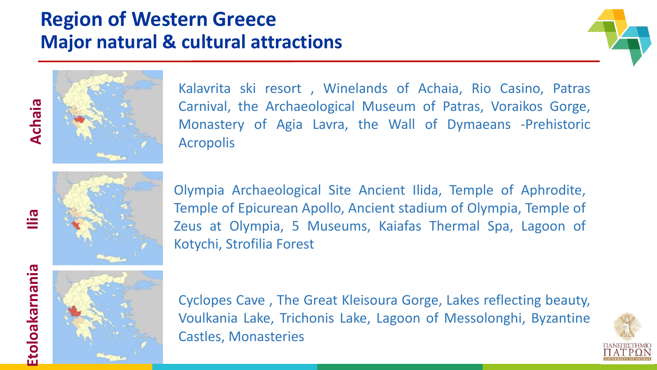### **Region of Western Greece Major natural & cultural attractions**





Kalavrita ski resort , Winelands of Achaia, Rio Casino, Patras Carnival, the Archaeological Museum of Patras, Voraikos Gorge, Monastery of Agia Lavra, the Wall of Dymaeans ‐Prehistoric Acropolis



Olympia Archaeological Site Ancient Ilida, Temple of Aphrodite, Temple of Epicurean Apollo, Ancient stadium of Olympia, Temple of Zeus at Olympia, 5 Museums, Kaiafas Thermal Spa, Lagoon of Kotychi, Strofilia Forest

**Ilia**



Cyclopes Cave , The Great Kleisoura Gorge, Lakes reflecting beauty, Voulkania Lake, Trichonis Lake, Lagoon of Messolonghi, Byzantine Castles, Monasteries

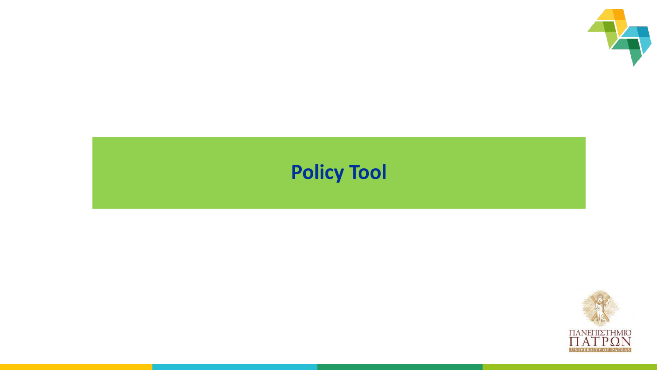

# **Policy Tool**

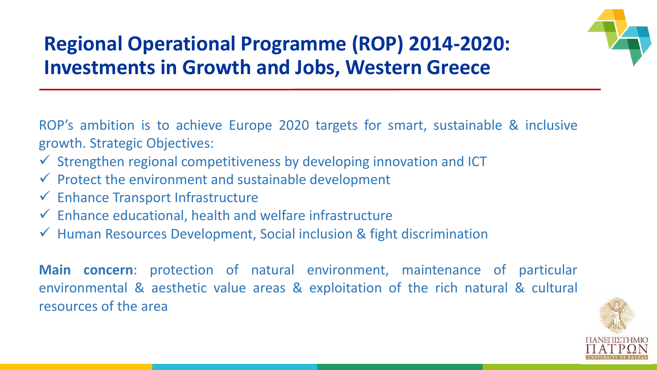

# **Regional Operational Programme (ROP) 2014-2020: Investments in Growth and Jobs, Western Greece**

ROP's ambition is to achieve Europe 2020 targets for smart, sustainable & inclusive growth. Strategic Objectives:

- $\checkmark$  Strengthen regional competitiveness by developing innovation and ICT
- $\checkmark$  Protect the environment and sustainable development
- $\checkmark$  Enhance Transport Infrastructure
- $\checkmark$  Enhance educational, health and welfare infrastructure
- $\checkmark$  Human Resources Development, Social inclusion & fight discrimination

**Main concern**: protection of natural environment, maintenance of particular environmental & aesthetic value areas & exploitation of the rich natural & cultural resources of the area

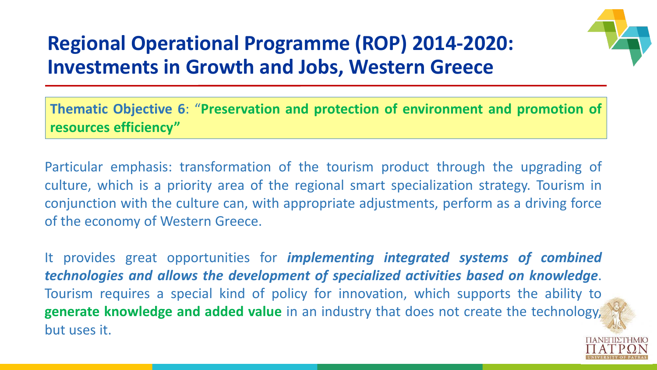

# **Regional Operational Programme (ROP) 2014-2020: Investments in Growth and Jobs, Western Greece**

**Thematic Objective 6**: "**Preservation and protection of environment and promotion of resources efficiency"**

Particular emphasis: transformation of the tourism product through the upgrading of culture, which is a priority area of the regional smart specialization strategy. Tourism in conjunction with the culture can, with appropriate adjustments, perform as a driving force of the economy of Western Greece.

It provides great opportunities for *implementing integrated systems of combined technologies and allows the development of specialized activities based on knowledge*. Tourism requires a special kind of policy for innovation, which supports the ability to **generate knowledge and added value** in an industry that does not create the technology, but uses it.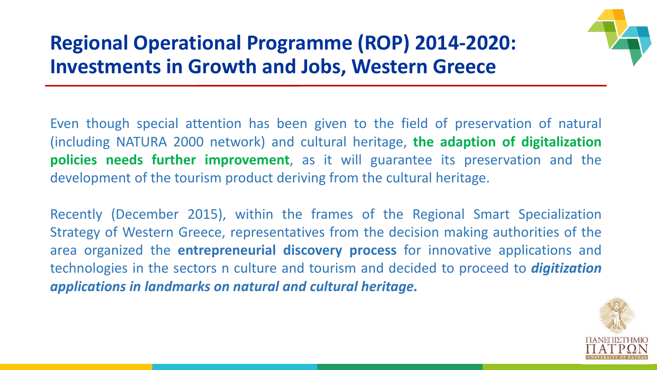# **Regional Operational Programme (ROP) 2014-2020: Investments in Growth and Jobs, Western Greece**



Even though special attention has been given to the field of preservation of natural (including NATURA 2000 network) and cultural heritage, **the adaption of digitalization policies needs further improvement**, as it will guarantee its preservation and the development of the tourism product deriving from the cultural heritage.

Recently (December 2015), within the frames of the Regional Smart Specialization Strategy of Western Greece, representatives from the decision making authorities of the area organized the **entrepreneurial discovery process** for innovative applications and technologies in the sectors n culture and tourism and decided to proceed to *digitization applications in landmarks on natural and cultural heritage.*

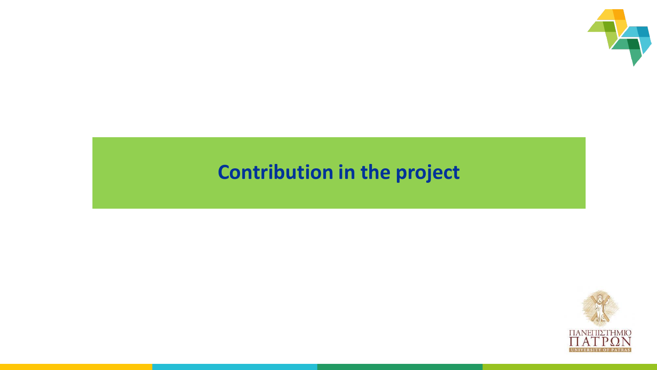

### **Contribution in the project**

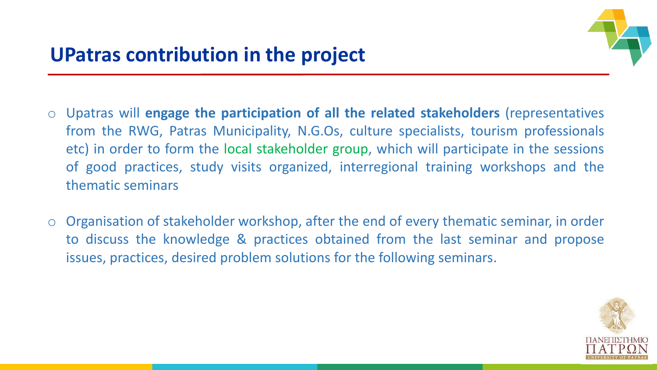

- o Upatras will **engage the participation of all the related stakeholders** (representatives from the RWG, Patras Municipality, N.G.Os, culture specialists, tourism professionals etc) in order to form the local stakeholder group, which will participate in the sessions of good practices, study visits organized, interregional training workshops and the thematic seminars
- o Organisation of stakeholder workshop, after the end of every thematic seminar, in order to discuss the knowledge & practices obtained from the last seminar and propose issues, practices, desired problem solutions for the following seminars.

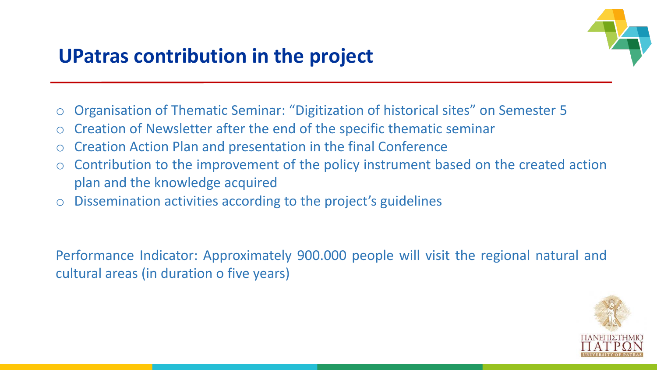

### **UPatras contribution in the project**

- o Organisation of Thematic Seminar: "Digitization of historical sites" on Semester 5
- o Creation of Newsletter after the end of the specific thematic seminar
- Creation Action Plan and presentation in the final Conference
- o Contribution to the improvement of the policy instrument based on the created action plan and the knowledge acquired
- o Dissemination activities according to the project's guidelines

Performance Indicator: Approximately 900.000 people will visit the regional natural and cultural areas (in duration o five years)